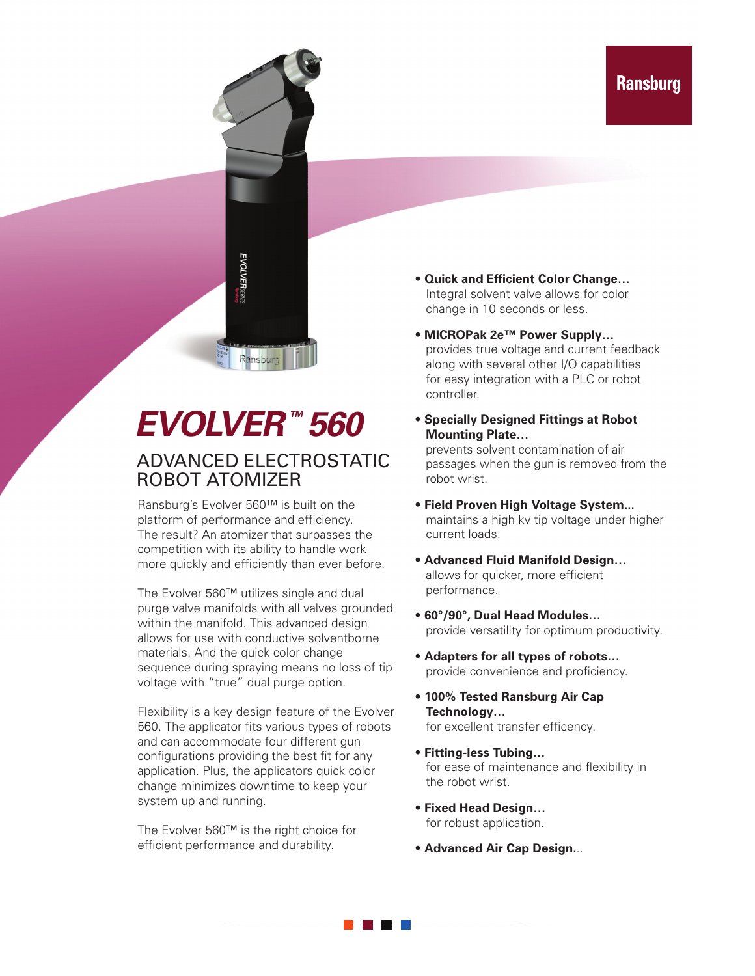

# *EVOLVER™ 560*

#### ADVANCED ELECTROSTATIC ROBOT ATOMIZER

Ransburg's Evolver 560™ is built on the platform of performance and efficiency. The result? An atomizer that surpasses the competition with its ability to handle work more quickly and efficiently than ever before.

The Evolver 560™ utilizes single and dual purge valve manifolds with all valves grounded within the manifold. This advanced design allows for use with conductive solventborne materials. And the quick color change sequence during spraying means no loss of tip voltage with "true" dual purge option.

Flexibility is a key design feature of the Evolver 560. The applicator fits various types of robots and can accommodate four different gun configurations providing the best fit for any application. Plus, the applicators quick color change minimizes downtime to keep your system up and running.

The Evolver 560™ is the right choice for efficient performance and durability.

- **Quick and Efficient Color Change…** Integral solvent valve allows for color change in 10 seconds or less.
- **MICROPak 2e™ Power Supply…** provides true voltage and current feedback along with several other I/O capabilities for easy integration with a PLC or robot controller.
- **Specially Designed Fittings at Robot Mounting Plate…**

prevents solvent contamination of air passages when the gun is removed from the robot wrist.

- **Field Proven High Voltage System...** maintains a high kv tip voltage under higher current loads.
- **Advanced Fluid Manifold Design…** allows for quicker, more efficient performance.
- **60°/90°, Dual Head Modules…** provide versatility for optimum productivity.
- **Adapters for all types of robots…** provide convenience and proficiency.
- **100% Tested Ransburg Air Cap Technology…** for excellent transfer efficency.
- **Fitting-less Tubing…** for ease of maintenance and flexibility in the robot wrist.
- **Fixed Head Design…** for robust application.

<u> 1959 - 1959</u>

• **Advanced Air Cap Design.**..